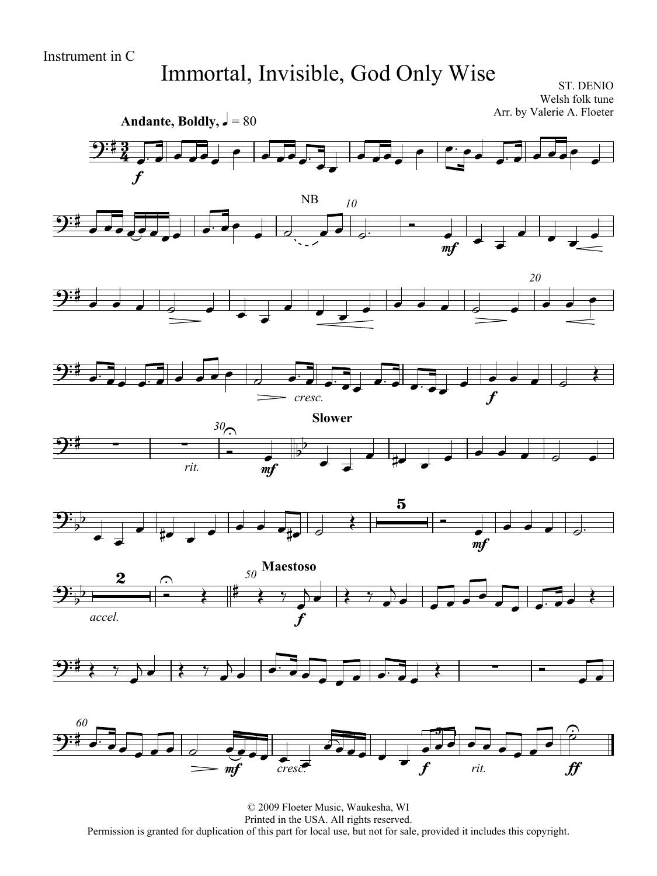## Immortal, Invisible, God Only Wise

ST. DENIO Welsh folk tune Arr. by Valerie A. Floeter

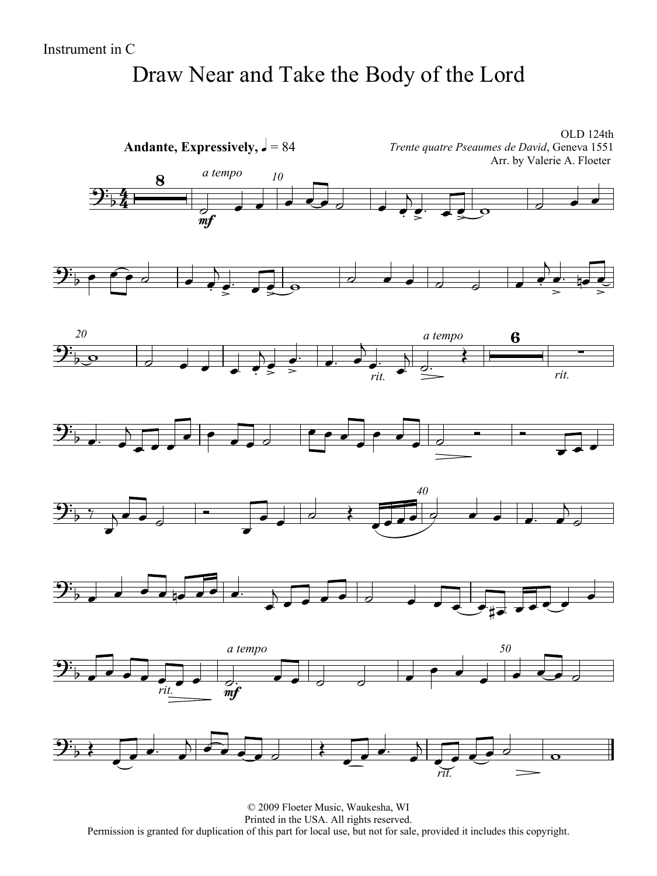### Draw Near and Take the Body of the Lord

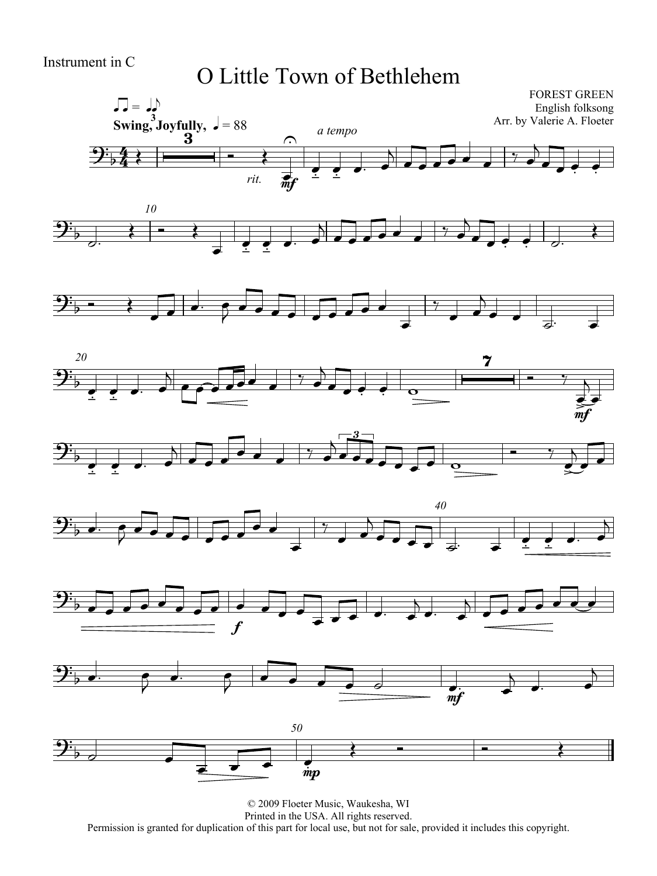#### Instrument in C

#### O Little Town of Bethlehem

















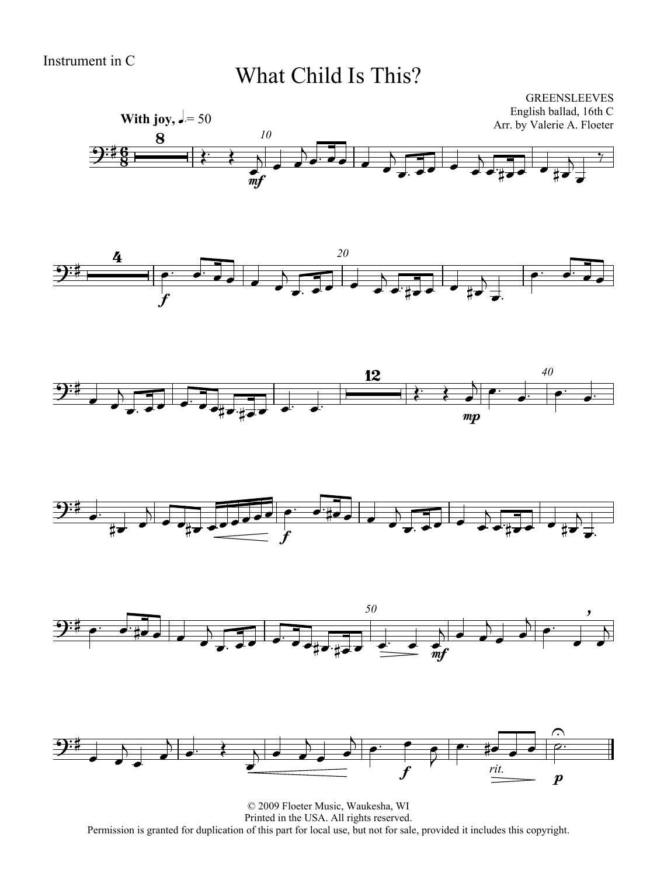### What Child Is This?













© 2009 Floeter Music, Waukesha, WI Printed in the USA. All rights reserved. Permission is granted for duplication of this part for local use, but not for sale, provided it includes this copyright.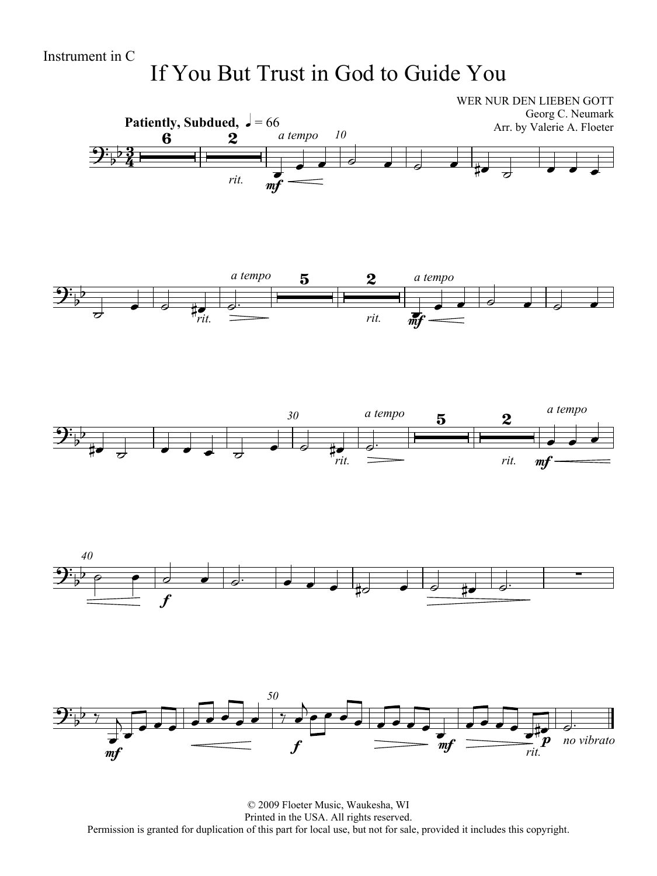## If You But Trust in God to Guide You



© 2009 Floeter Music, Waukesha, WI Printed in the USA. All rights reserved. Permission is granted for duplication of this part for local use, but not for sale, provided it includes this copyright.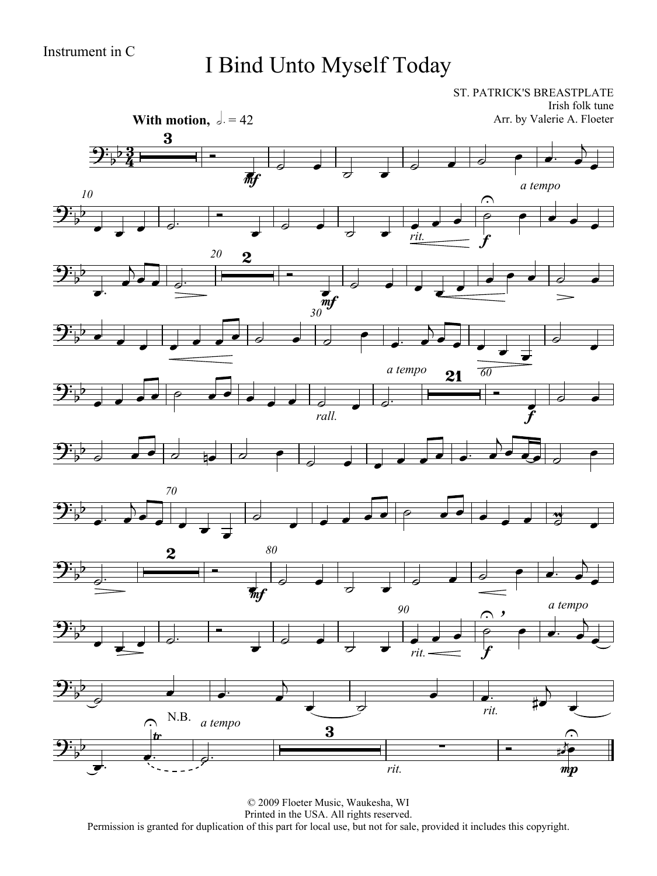## I Bind Unto Myself Today

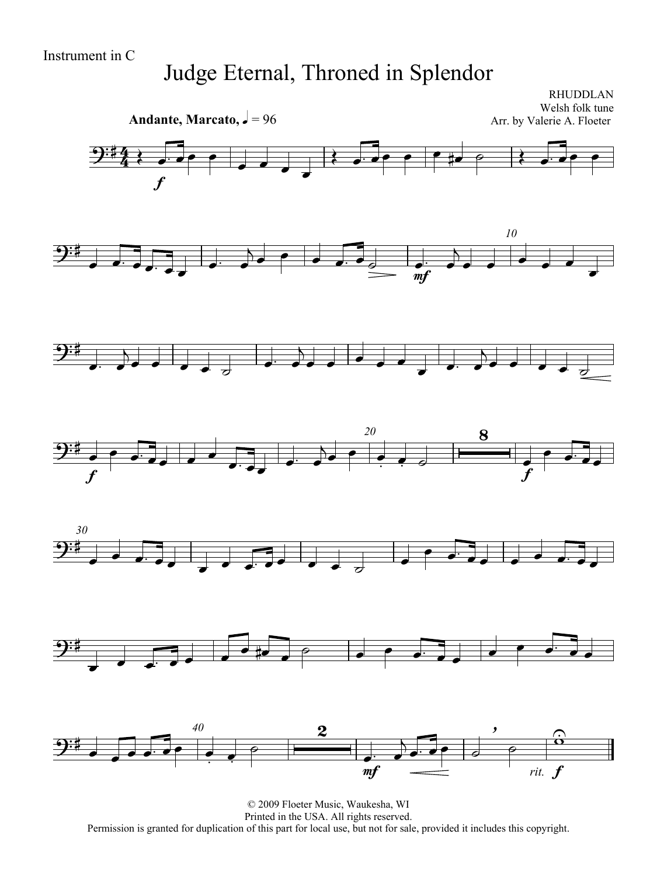## Judge Eternal, Throned in Splendor



© 2009 Floeter Music, Waukesha, WI Printed in the USA. All rights reserved. Permission is granted for duplication of this part for local use, but not for sale, provided it includes this copyright.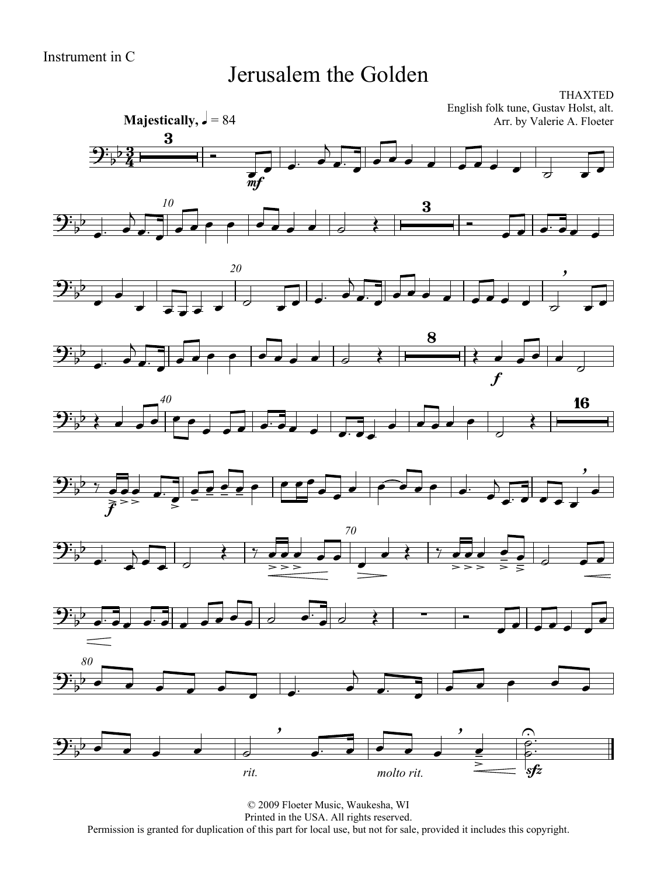#### Jerusalem the Golden

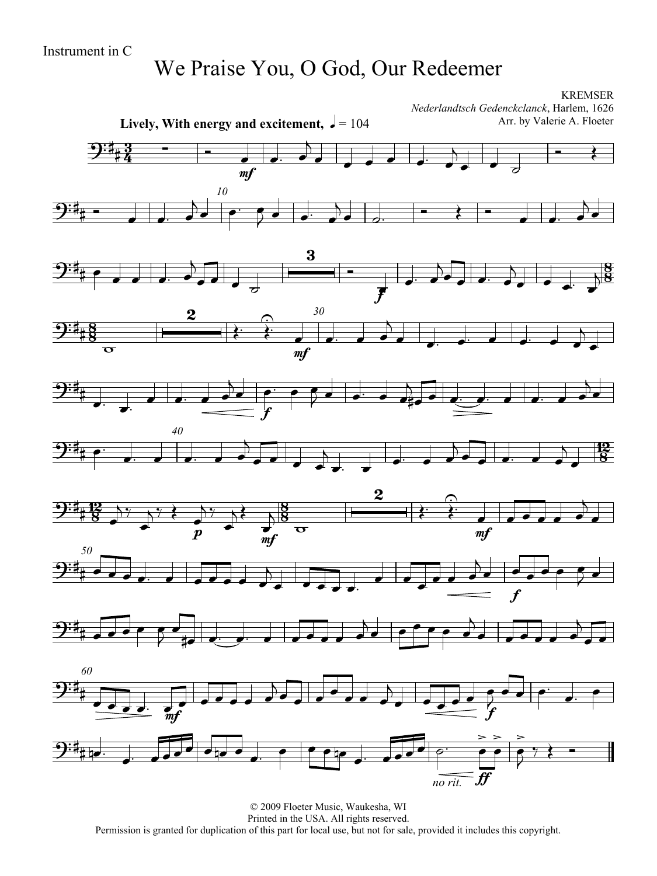## We Praise You, O God, Our Redeemer